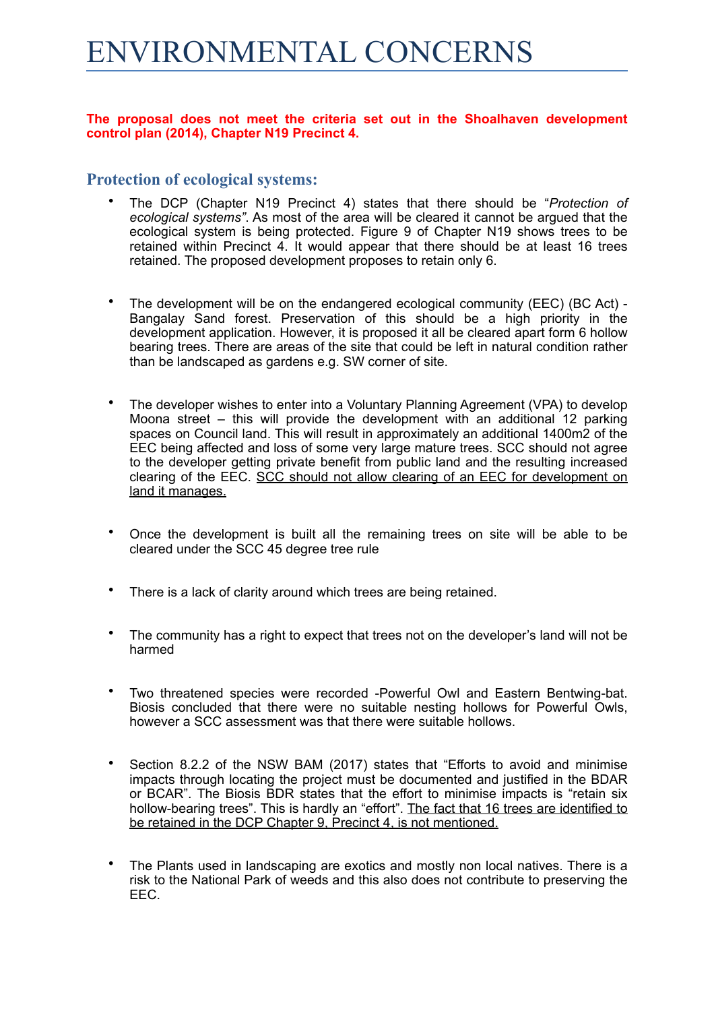# ENVIRONMENTAL CONCERNS

## **The proposal does not meet the criteria set out in the Shoalhaven development control plan (2014), Chapter N19 Precinct 4.**

# **Protection of ecological systems:**

- The DCP (Chapter N19 Precinct 4) states that there should be "*Protection of ecological systems"*. As most of the area will be cleared it cannot be argued that the ecological system is being protected. Figure 9 of Chapter N19 shows trees to be retained within Precinct 4. It would appear that there should be at least 16 trees retained. The proposed development proposes to retain only 6.
- The development will be on the endangered ecological community (EEC) (BC Act) Bangalay Sand forest. Preservation of this should be a high priority in the development application. However, it is proposed it all be cleared apart form 6 hollow bearing trees. There are areas of the site that could be left in natural condition rather than be landscaped as gardens e.g. SW corner of site.
- The developer wishes to enter into a Voluntary Planning Agreement (VPA) to develop Moona street – this will provide the development with an additional 12 parking spaces on Council land. This will result in approximately an additional 1400m2 of the EEC being affected and loss of some very large mature trees. SCC should not agree to the developer getting private benefit from public land and the resulting increased clearing of the EEC. SCC should not allow clearing of an EEC for development on land it manages.
- Once the development is built all the remaining trees on site will be able to be cleared under the SCC 45 degree tree rule
- There is a lack of clarity around which trees are being retained.
- The community has a right to expect that trees not on the developer's land will not be harmed
- Two threatened species were recorded -Powerful Owl and Eastern Bentwing-bat. Biosis concluded that there were no suitable nesting hollows for Powerful Owls, however a SCC assessment was that there were suitable hollows.
- Section 8.2.2 of the NSW BAM (2017) states that "Efforts to avoid and minimise impacts through locating the project must be documented and justified in the BDAR or BCAR". The Biosis BDR states that the effort to minimise impacts is "retain six hollow-bearing trees". This is hardly an "effort". The fact that 16 trees are identified to be retained in the DCP Chapter 9, Precinct 4, is not mentioned.
- The Plants used in landscaping are exotics and mostly non local natives. There is a risk to the National Park of weeds and this also does not contribute to preserving the EEC.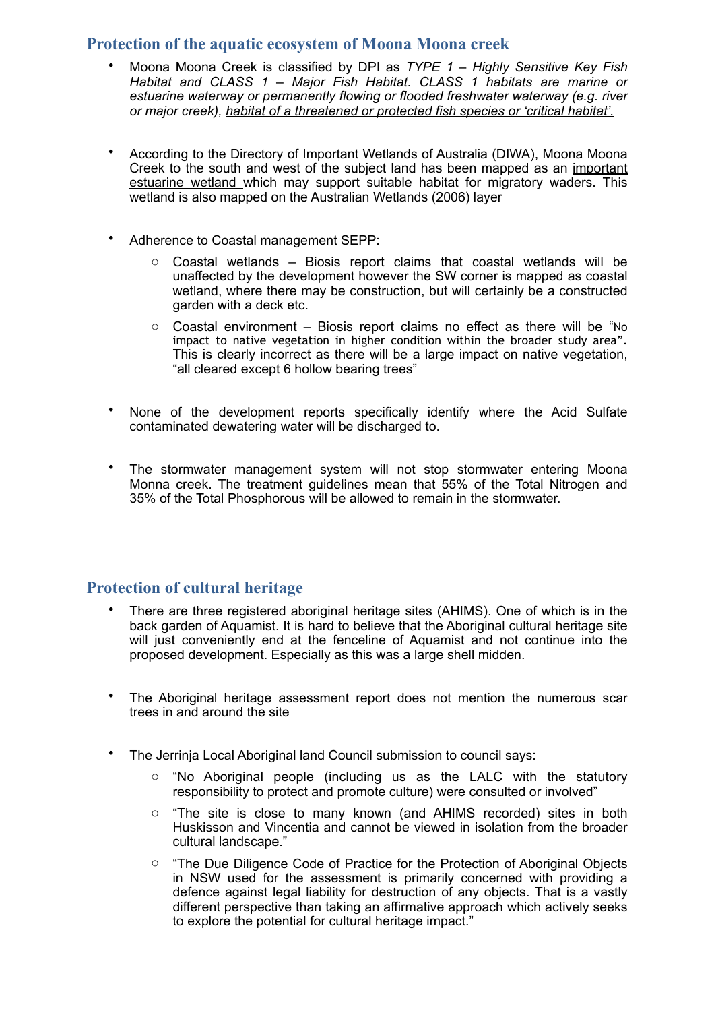# **Protection of the aquatic ecosystem of Moona Moona creek**

- Moona Moona Creek is classified by DPI as *TYPE 1 Highly Sensitive Key Fish Habitat and CLASS 1 – Major Fish Habitat. CLASS 1 habitats are marine or estuarine waterway or permanently flowing or flooded freshwater waterway (e.g. river or major creek), habitat of a threatened or protected fish species or 'critical habitat'.*
- According to the Directory of Important Wetlands of Australia (DIWA), Moona Moona Creek to the south and west of the subject land has been mapped as an important estuarine wetland which may support suitable habitat for migratory waders. This wetland is also mapped on the Australian Wetlands (2006) layer
- Adherence to Coastal management SEPP:
	- $\circ$  Coastal wetlands Biosis report claims that coastal wetlands will be unaffected by the development however the SW corner is mapped as coastal wetland, where there may be construction, but will certainly be a constructed garden with a deck etc.
	- $\circ$  Coastal environment Biosis report claims no effect as there will be "No impact to native vegetation in higher condition within the broader study area". This is clearly incorrect as there will be a large impact on native vegetation, "all cleared except 6 hollow bearing trees"
- None of the development reports specifically identify where the Acid Sulfate contaminated dewatering water will be discharged to.
- The stormwater management system will not stop stormwater entering Moona Monna creek. The treatment guidelines mean that 55% of the Total Nitrogen and 35% of the Total Phosphorous will be allowed to remain in the stormwater.

# **Protection of cultural heritage**

- There are three registered aboriginal heritage sites (AHIMS). One of which is in the back garden of Aquamist. It is hard to believe that the Aboriginal cultural heritage site will just conveniently end at the fenceline of Aquamist and not continue into the proposed development. Especially as this was a large shell midden.
- The Aboriginal heritage assessment report does not mention the numerous scar trees in and around the site
- The Jerrinia Local Aboriginal land Council submission to council says:
	- $\circ$  "No Aboriginal people (including us as the LALC with the statutory responsibility to protect and promote culture) were consulted or involved"
	- o "The site is close to many known (and AHIMS recorded) sites in both Huskisson and Vincentia and cannot be viewed in isolation from the broader cultural landscape."
	- o "The Due Diligence Code of Practice for the Protection of Aboriginal Objects in NSW used for the assessment is primarily concerned with providing a defence against legal liability for destruction of any objects. That is a vastly different perspective than taking an affirmative approach which actively seeks to explore the potential for cultural heritage impact."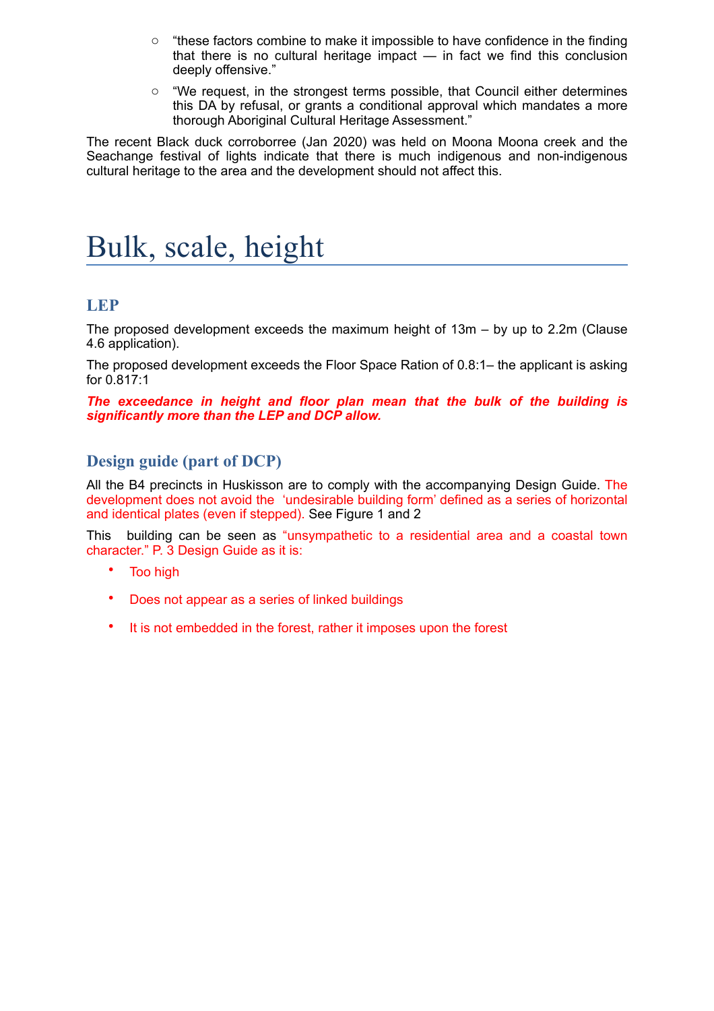- $\circ$  "these factors combine to make it impossible to have confidence in the finding that there is no cultural heritage impact — in fact we find this conclusion deeply offensive."
- $\circ$  "We request, in the strongest terms possible, that Council either determines this DA by refusal, or grants a conditional approval which mandates a more thorough Aboriginal Cultural Heritage Assessment."

The recent Black duck corroborree (Jan 2020) was held on Moona Moona creek and the Seachange festival of lights indicate that there is much indigenous and non-indigenous cultural heritage to the area and the development should not affect this.

# Bulk, scale, height

# **LEP**

The proposed development exceeds the maximum height of 13m – by up to 2.2m (Clause 4.6 application).

The proposed development exceeds the Floor Space Ration of 0.8:1– the applicant is asking for 0.817:1

*The exceedance in height and floor plan mean that the bulk of the building is significantly more than the LEP and DCP allow.* 

# **Design guide (part of DCP)**

All the B4 precincts in Huskisson are to comply with the accompanying Design Guide. The development does not avoid the 'undesirable building form' defined as a series of horizontal and identical plates (even if stepped). See Figure 1 and 2

This building can be seen as "unsympathetic to a residential area and a coastal town character." P. 3 Design Guide as it is:

- Too high
- Does not appear as a series of linked buildings
- It is not embedded in the forest, rather it imposes upon the forest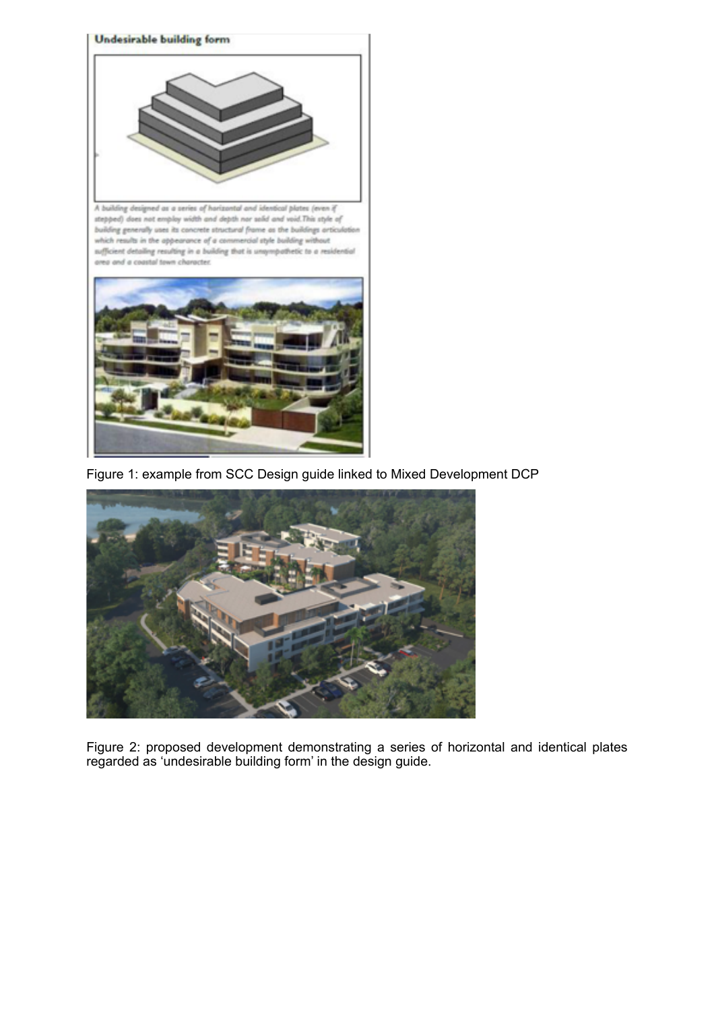

A building designed as a series of horizontal and identical plates (even if stepped) does not employ width and depth nor salid and void. This style of building generally uses its concrete structural frame as the buildings articule which results in the appearance of a commercial style building without sufficient detailing resulting in a building that is unsympathetic to a residential area and a coastal town character.



Figure 1: example from SCC Design guide linked to Mixed Development DCP



Figure 2: proposed development demonstrating a series of horizontal and identical plates regarded as 'undesirable building form' in the design guide.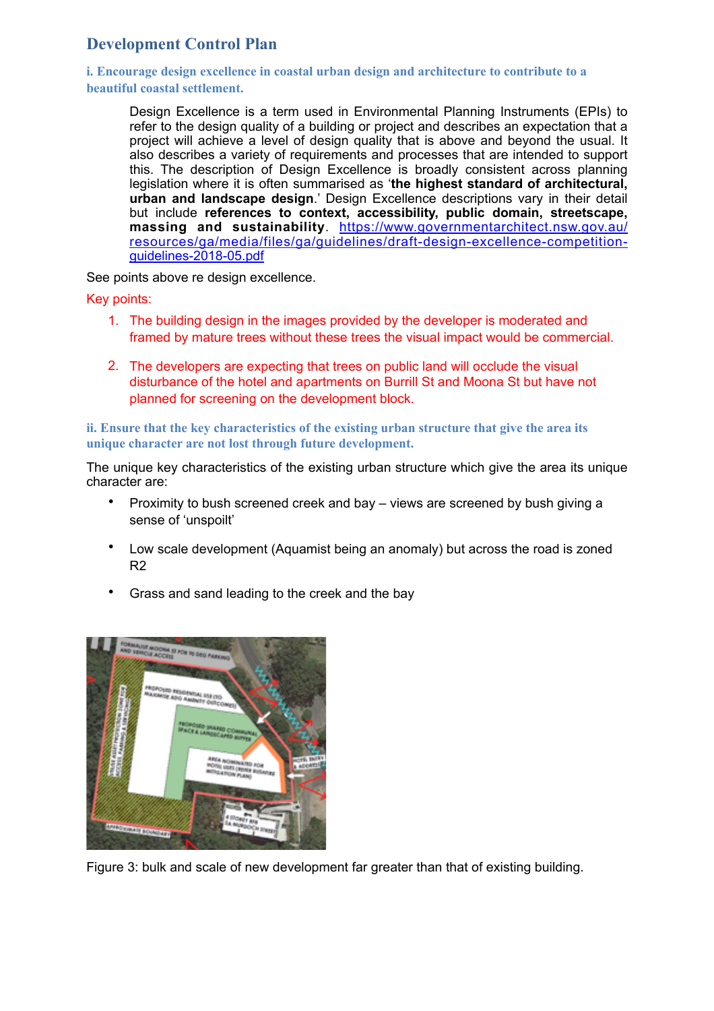# **Development Control Plan**

**i. Encourage design excellence in coastal urban design and architecture to contribute to a beautiful coastal settlement.** 

Design Excellence is a term used in Environmental Planning Instruments (EPIs) to refer to the design quality of a building or project and describes an expectation that a project will achieve a level of design quality that is above and beyond the usual. It also describes a variety of requirements and processes that are intended to support this. The description of Design Excellence is broadly consistent across planning legislation where it is often summarised as '**the highest standard of architectural, urban and landscape design**.' Design Excellence descriptions vary in their detail but include **references to context, accessibility, public domain, streetscape, massing and sustainability**. https://www.governmentarchitect.nsw.gov.au/ [resources/ga/media/files/ga/guidelines/draft-design-excellence-competition](https://www.governmentarchitect.nsw.gov.au/resources/ga/media/files/ga/guidelines/draft-design-excellence-competition-guidelines-2018-05.pdf)guidelines-2018-05.pdf

See points above re design excellence.

Key points:

- 1. The building design in the images provided by the developer is moderated and framed by mature trees without these trees the visual impact would be commercial.
- 2. The developers are expecting that trees on public land will occlude the visual disturbance of the hotel and apartments on Burrill St and Moona St but have not planned for screening on the development block.

# **ii. Ensure that the key characteristics of the existing urban structure that give the area its unique character are not lost through future development.**

The unique key characteristics of the existing urban structure which give the area its unique character are:

- Proximity to bush screened creek and bay views are screened by bush giving a sense of 'unspoilt'
- Low scale development (Aquamist being an anomaly) but across the road is zoned R2
- Grass and sand leading to the creek and the bay



Figure 3: bulk and scale of new development far greater than that of existing building.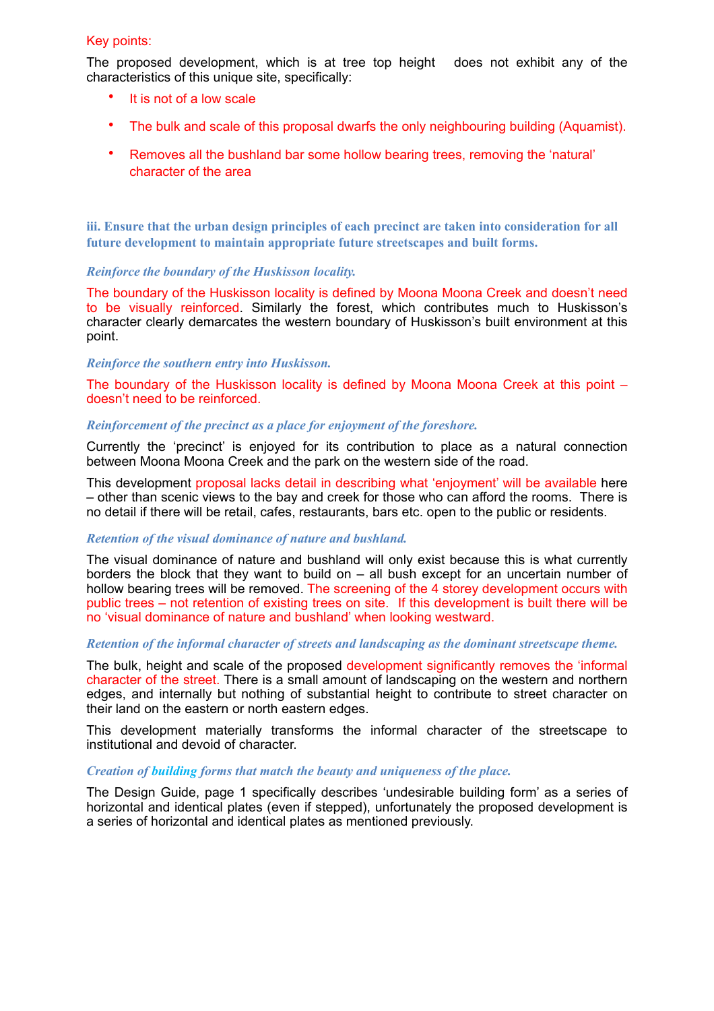## Key points:

The proposed development, which is at tree top height does not exhibit any of the characteristics of this unique site, specifically:

- It is not of a low scale
- The bulk and scale of this proposal dwarfs the only neighbouring building (Aquamist).
- Removes all the bushland bar some hollow bearing trees, removing the 'natural' character of the area

**iii. Ensure that the urban design principles of each precinct are taken into consideration for all future development to maintain appropriate future streetscapes and built forms.** 

## *Reinforce the boundary of the Huskisson locality.*

The boundary of the Huskisson locality is defined by Moona Moona Creek and doesn't need to be visually reinforced. Similarly the forest, which contributes much to Huskisson's character clearly demarcates the western boundary of Huskisson's built environment at this point.

#### *Reinforce the southern entry into Huskisson.*

The boundary of the Huskisson locality is defined by Moona Moona Creek at this point – doesn't need to be reinforced.

#### *Reinforcement of the precinct as a place for enjoyment of the foreshore.*

Currently the 'precinct' is enjoyed for its contribution to place as a natural connection between Moona Moona Creek and the park on the western side of the road.

This development proposal lacks detail in describing what 'enjoyment' will be available here – other than scenic views to the bay and creek for those who can afford the rooms. There is no detail if there will be retail, cafes, restaurants, bars etc. open to the public or residents.

## *Retention of the visual dominance of nature and bushland.*

The visual dominance of nature and bushland will only exist because this is what currently borders the block that they want to build on – all bush except for an uncertain number of hollow bearing trees will be removed. The screening of the 4 storey development occurs with public trees – not retention of existing trees on site. If this development is built there will be no 'visual dominance of nature and bushland' when looking westward.

#### *Retention of the informal character of streets and landscaping as the dominant streetscape theme.*

The bulk, height and scale of the proposed development significantly removes the 'informal character of the street. There is a small amount of landscaping on the western and northern edges, and internally but nothing of substantial height to contribute to street character on their land on the eastern or north eastern edges.

This development materially transforms the informal character of the streetscape to institutional and devoid of character.

## *Creation of building forms that match the beauty and uniqueness of the place.*

The Design Guide, page 1 specifically describes 'undesirable building form' as a series of horizontal and identical plates (even if stepped), unfortunately the proposed development is a series of horizontal and identical plates as mentioned previously.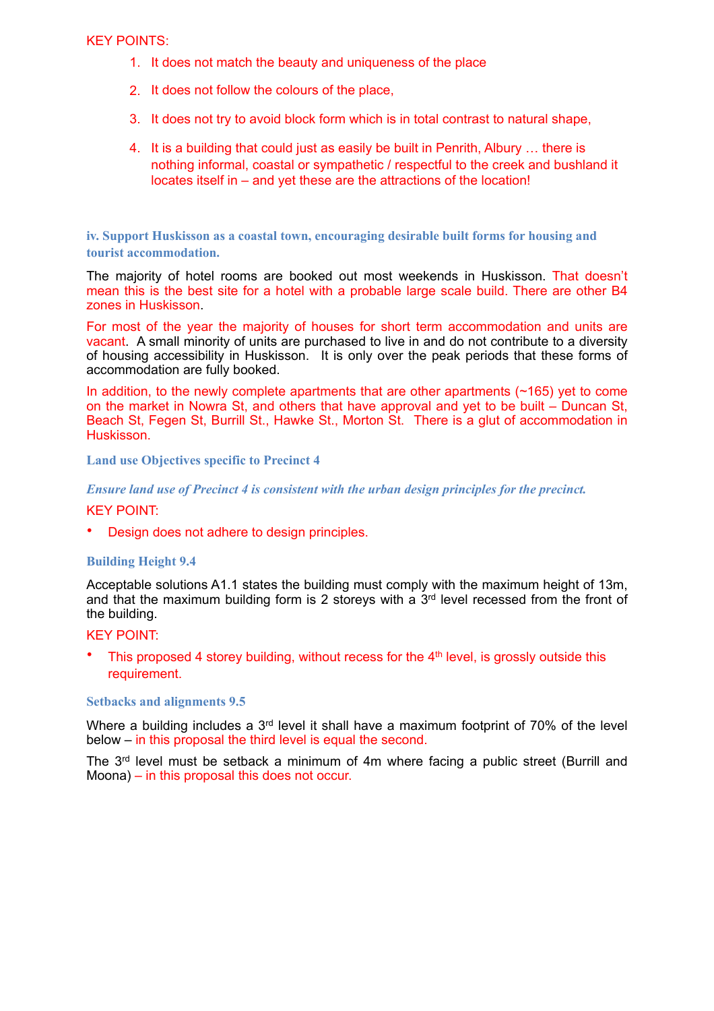## KEY POINTS:

- 1. It does not match the beauty and uniqueness of the place
- 2. It does not follow the colours of the place,
- 3. It does not try to avoid block form which is in total contrast to natural shape,
- 4. It is a building that could just as easily be built in Penrith, Albury … there is nothing informal, coastal or sympathetic / respectful to the creek and bushland it locates itself in – and yet these are the attractions of the location!

**iv. Support Huskisson as a coastal town, encouraging desirable built forms for housing and tourist accommodation.** 

The majority of hotel rooms are booked out most weekends in Huskisson. That doesn't mean this is the best site for a hotel with a probable large scale build. There are other B4 zones in Huskisson.

For most of the year the majority of houses for short term accommodation and units are vacant. A small minority of units are purchased to live in and do not contribute to a diversity of housing accessibility in Huskisson. It is only over the peak periods that these forms of accommodation are fully booked.

In addition, to the newly complete apartments that are other apartments (~165) yet to come on the market in Nowra St, and others that have approval and yet to be built – Duncan St, Beach St, Fegen St, Burrill St., Hawke St., Morton St. There is a glut of accommodation in Huskisson.

**Land use Objectives specific to Precinct 4** 

*Ensure land use of Precinct 4 is consistent with the urban design principles for the precinct.* 

## KEY POINT:

• Design does not adhere to design principles.

## **Building Height 9.4**

Acceptable solutions A1.1 states the building must comply with the maximum height of 13m, and that the maximum building form is 2 storeys with a  $3<sup>rd</sup>$  level recessed from the front of the building.

#### KEY POINT:

This proposed 4 storey building, without recess for the 4<sup>th</sup> level, is grossly outside this requirement.

#### **Setbacks and alignments 9.5**

Where a building includes a 3<sup>rd</sup> level it shall have a maximum footprint of 70% of the level below – in this proposal the third level is equal the second.

The 3rd level must be setback a minimum of 4m where facing a public street (Burrill and Moona) – in this proposal this does not occur.